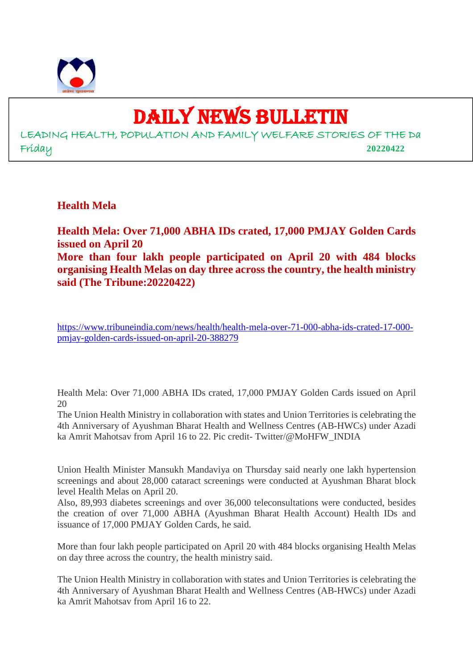

# DAILY NEWS BULLETIN

LEADING HEALTH, POPULATION AND FAMILY WELFARE STORIES OF THE Da Friday **20220422**

**Health Mela**

**Health Mela: Over 71,000 ABHA IDs crated, 17,000 PMJAY Golden Cards issued on April 20 More than four lakh people participated on April 20 with 484 blocks organising Health Melas on day three across the country, the health ministry said (The Tribune:20220422)**

https://www.tribuneindia.com/news/health/health-mela-over-71-000-abha-ids-crated-17-000 pmjay-golden-cards-issued-on-april-20-388279

Health Mela: Over 71,000 ABHA IDs crated, 17,000 PMJAY Golden Cards issued on April 20

The Union Health Ministry in collaboration with states and Union Territories is celebrating the 4th Anniversary of Ayushman Bharat Health and Wellness Centres (AB-HWCs) under Azadi ka Amrit Mahotsav from April 16 to 22. Pic credit- Twitter/@MoHFW\_INDIA

Union Health Minister Mansukh Mandaviya on Thursday said nearly one lakh hypertension screenings and about 28,000 cataract screenings were conducted at Ayushman Bharat block level Health Melas on April 20.

Also, 89,993 diabetes screenings and over 36,000 teleconsultations were conducted, besides the creation of over 71,000 ABHA (Ayushman Bharat Health Account) Health IDs and issuance of 17,000 PMJAY Golden Cards, he said.

More than four lakh people participated on April 20 with 484 blocks organising Health Melas on day three across the country, the health ministry said.

The Union Health Ministry in collaboration with states and Union Territories is celebrating the 4th Anniversary of Ayushman Bharat Health and Wellness Centres (AB-HWCs) under Azadi ka Amrit Mahotsav from April 16 to 22.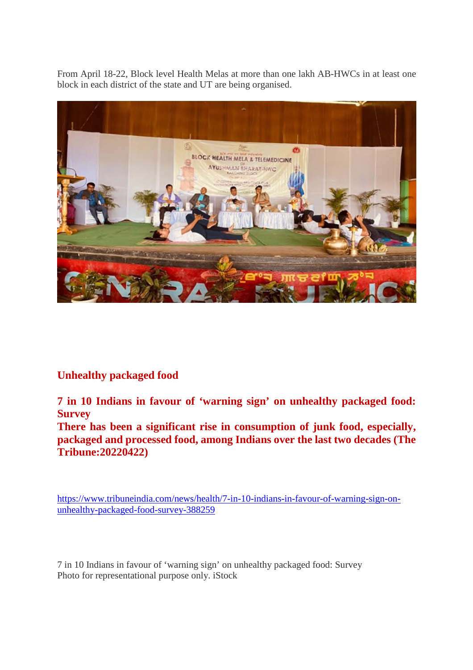From April 18-22, Block level Health Melas at more than one lakh AB-HWCs in at least one block in each district of the state and UT are being organised.



#### **Unhealthy packaged food**

**7 in 10 Indians in favour of 'warning sign' on unhealthy packaged food: Survey**

**There has been a significant rise in consumption of junk food, especially, packaged and processed food, among Indians over the last two decades (The Tribune:20220422)**

https://www.tribuneindia.com/news/health/7-in-10-indians-in-favour-of-warning-sign-onunhealthy-packaged-food-survey-388259

7 in 10 Indians in favour of 'warning sign' on unhealthy packaged food: Survey Photo for representational purpose only. iStock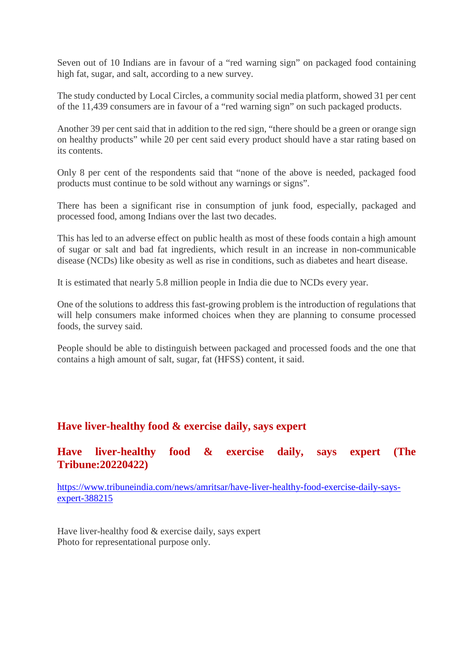Seven out of 10 Indians are in favour of a "red warning sign" on packaged food containing high fat, sugar, and salt, according to a new survey.

The study conducted by Local Circles, a community social media platform, showed 31 per cent of the 11,439 consumers are in favour of a "red warning sign" on such packaged products.

Another 39 per cent said that in addition to the red sign, "there should be a green or orange sign on healthy products" while 20 per cent said every product should have a star rating based on its contents.

Only 8 per cent of the respondents said that "none of the above is needed, packaged food products must continue to be sold without any warnings or signs".

There has been a significant rise in consumption of junk food, especially, packaged and processed food, among Indians over the last two decades.

This has led to an adverse effect on public health as most of these foods contain a high amount of sugar or salt and bad fat ingredients, which result in an increase in non-communicable disease (NCDs) like obesity as well as rise in conditions, such as diabetes and heart disease.

It is estimated that nearly 5.8 million people in India die due to NCDs every year.

One of the solutions to address this fast-growing problem is the introduction of regulations that will help consumers make informed choices when they are planning to consume processed foods, the survey said.

People should be able to distinguish between packaged and processed foods and the one that contains a high amount of salt, sugar, fat (HFSS) content, it said.

#### **Have liver-healthy food & exercise daily, says expert**

#### **Have liver-healthy food & exercise daily, says expert (The Tribune:20220422)**

https://www.tribuneindia.com/news/amritsar/have-liver-healthy-food-exercise-daily-saysexpert-388215

Have liver-healthy food & exercise daily, says expert Photo for representational purpose only.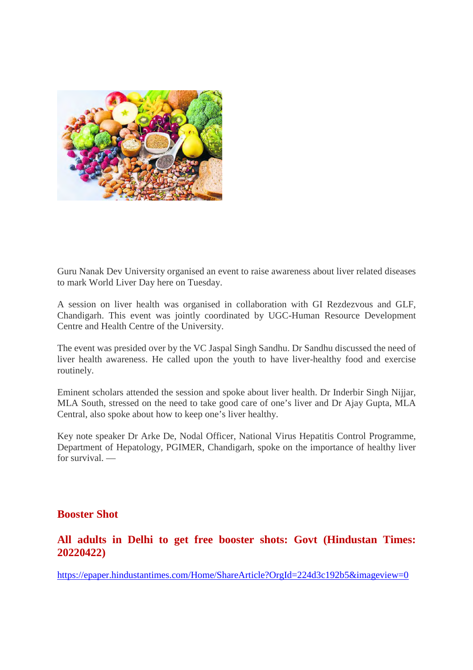

Guru Nanak Dev University organised an event to raise awareness about liver related diseases to mark World Liver Day here on Tuesday.

A session on liver health was organised in collaboration with GI Rezdezvous and GLF, Chandigarh. This event was jointly coordinated by UGC-Human Resource Development Centre and Health Centre of the University.

The event was presided over by the VC Jaspal Singh Sandhu. Dr Sandhu discussed the need of liver health awareness. He called upon the youth to have liver-healthy food and exercise routinely.

Eminent scholars attended the session and spoke about liver health. Dr Inderbir Singh Nijjar, MLA South, stressed on the need to take good care of one's liver and Dr Ajay Gupta, MLA Central, also spoke about how to keep one's liver healthy.

Key note speaker Dr Arke De, Nodal Officer, National Virus Hepatitis Control Programme, Department of Hepatology, PGIMER, Chandigarh, spoke on the importance of healthy liver for survival. —

#### **Booster Shot**

#### **All adults in Delhi to get free booster shots: Govt (Hindustan Times: 20220422)**

https://epaper.hindustantimes.com/Home/ShareArticle?OrgId=224d3c192b5&imageview=0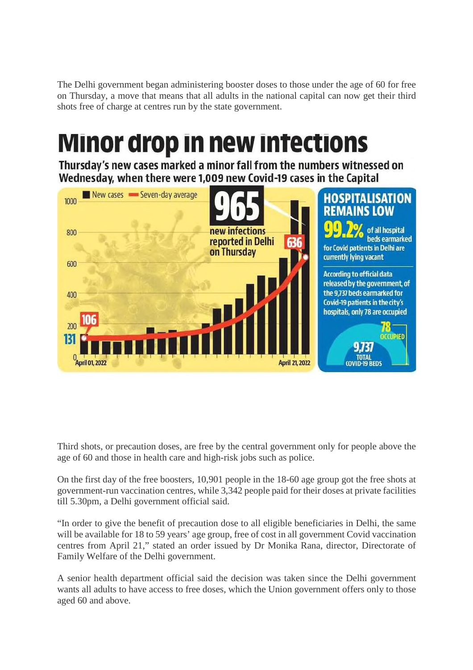The Delhi government began administering booster doses to those under the age of 60 for free on Thursday, a move that means that all adults in the national capital can now get their third shots free of charge at centres run by the state government.

# Minor drop in new intections

Thursday's new cases marked a minor fall from the numbers witnessed on Wednesday, when there were 1,009 new Covid-19 cases in the Capital



Third shots, or precaution doses, are free by the central government only for people above the age of 60 and those in health care and high-risk jobs such as police.

On the first day of the free boosters, 10,901 people in the 18-60 age group got the free shots at government-run vaccination centres, while 3,342 people paid for their doses at private facilities till 5.30pm, a Delhi government official said.

"In order to give the benefit of precaution dose to all eligible beneficiaries in Delhi, the same will be available for 18 to 59 years' age group, free of cost in all government Covid vaccination centres from April 21," stated an order issued by Dr Monika Rana, director, Directorate of Family Welfare of the Delhi government.

A senior health department official said the decision was taken since the Delhi government wants all adults to have access to free doses, which the Union government offers only to those aged 60 and above.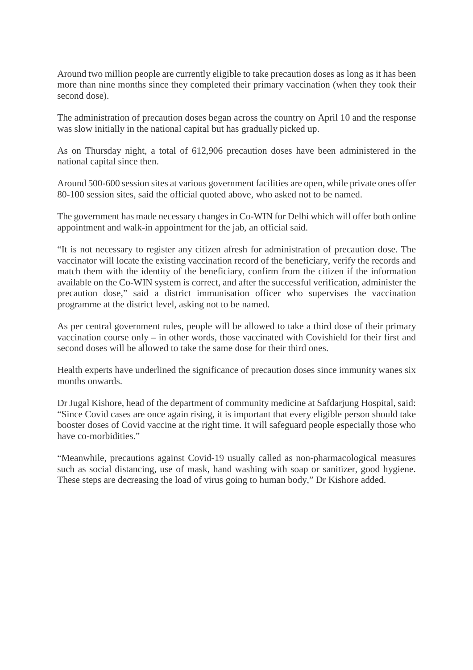Around two million people are currently eligible to take precaution doses as long as it has been more than nine months since they completed their primary vaccination (when they took their second dose).

The administration of precaution doses began across the country on April 10 and the response was slow initially in the national capital but has gradually picked up.

As on Thursday night, a total of 612,906 precaution doses have been administered in the national capital since then.

Around 500-600 session sites at various government facilities are open, while private ones offer 80-100 session sites, said the official quoted above, who asked not to be named.

The government has made necessary changes in Co-WIN for Delhi which will offer both online appointment and walk-in appointment for the jab, an official said.

"It is not necessary to register any citizen afresh for administration of precaution dose. The vaccinator will locate the existing vaccination record of the beneficiary, verify the records and match them with the identity of the beneficiary, confirm from the citizen if the information available on the Co-WIN system is correct, and after the successful verification, administer the precaution dose," said a district immunisation officer who supervises the vaccination programme at the district level, asking not to be named.

As per central government rules, people will be allowed to take a third dose of their primary vaccination course only – in other words, those vaccinated with Covishield for their first and second doses will be allowed to take the same dose for their third ones.

Health experts have underlined the significance of precaution doses since immunity wanes six months onwards.

Dr Jugal Kishore, head of the department of community medicine at Safdarjung Hospital, said: "Since Covid cases are once again rising, it is important that every eligible person should take booster doses of Covid vaccine at the right time. It will safeguard people especially those who have co-morbidities."

"Meanwhile, precautions against Covid-19 usually called as non-pharmacological measures such as social distancing, use of mask, hand washing with soap or sanitizer, good hygiene. These steps are decreasing the load of virus going to human body," Dr Kishore added.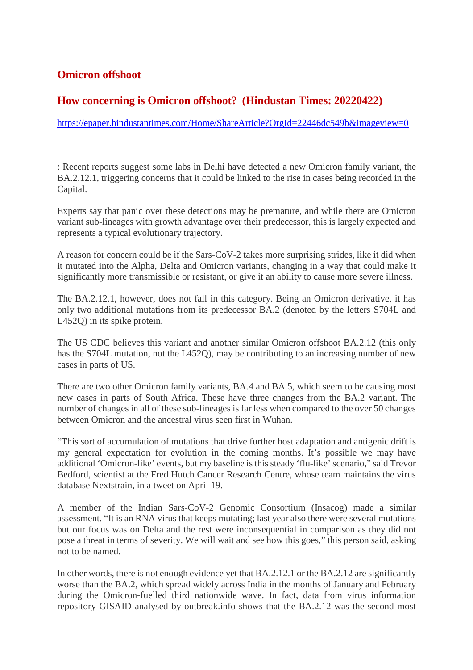#### **Omicron offshoot**

#### **How concerning is Omicron offshoot? (Hindustan Times: 20220422)**

https://epaper.hindustantimes.com/Home/ShareArticle?OrgId=22446dc549b&imageview=0

: Recent reports suggest some labs in Delhi have detected a new Omicron family variant, the BA.2.12.1, triggering concerns that it could be linked to the rise in cases being recorded in the Capital.

Experts say that panic over these detections may be premature, and while there are Omicron variant sub-lineages with growth advantage over their predecessor, this is largely expected and represents a typical evolutionary trajectory.

A reason for concern could be if the Sars-CoV-2 takes more surprising strides, like it did when it mutated into the Alpha, Delta and Omicron variants, changing in a way that could make it significantly more transmissible or resistant, or give it an ability to cause more severe illness.

The BA.2.12.1, however, does not fall in this category. Being an Omicron derivative, it has only two additional mutations from its predecessor BA.2 (denoted by the letters S704L and L452Q) in its spike protein.

The US CDC believes this variant and another similar Omicron offshoot BA.2.12 (this only has the S704L mutation, not the L452Q), may be contributing to an increasing number of new cases in parts of US.

There are two other Omicron family variants, BA.4 and BA.5, which seem to be causing most new cases in parts of South Africa. These have three changes from the BA.2 variant. The number of changes in all of these sub-lineages is far less when compared to the over 50 changes between Omicron and the ancestral virus seen first in Wuhan.

"This sort of accumulation of mutations that drive further host adaptation and antigenic drift is my general expectation for evolution in the coming months. It's possible we may have additional 'Omicron-like' events, but my baseline is this steady 'flu-like' scenario," said Trevor Bedford, scientist at the Fred Hutch Cancer Research Centre, whose team maintains the virus database Nextstrain, in a tweet on April 19.

A member of the Indian Sars-CoV-2 Genomic Consortium (Insacog) made a similar assessment. "It is an RNA virus that keeps mutating; last year also there were several mutations but our focus was on Delta and the rest were inconsequential in comparison as they did not pose a threat in terms of severity. We will wait and see how this goes," this person said, asking not to be named.

In other words, there is not enough evidence yet that BA.2.12.1 or the BA.2.12 are significantly worse than the BA.2, which spread widely across India in the months of January and February during the Omicron-fuelled third nationwide wave. In fact, data from virus information repository GISAID analysed by outbreak.info shows that the BA.2.12 was the second most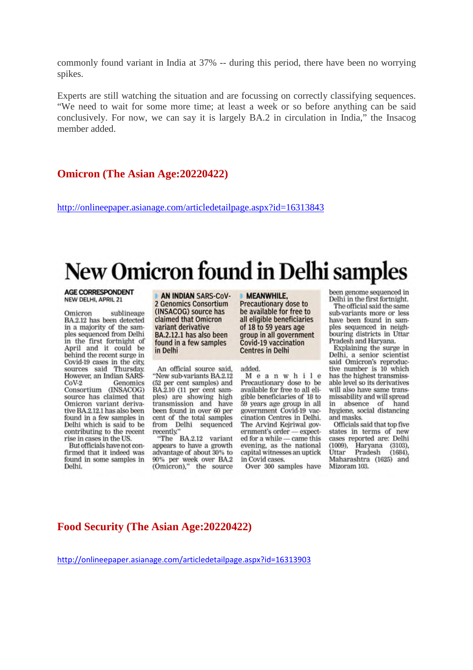commonly found variant in India at 37% -- during this period, there have been no worrying spikes.

Experts are still watching the situation and are focussing on correctly classifying sequences. "We need to wait for some more time; at least a week or so before anything can be said conclusively. For now, we can say it is largely BA.2 in circulation in India," the Insacog member added.

#### **Omicron (The Asian Age:20220422)**

http://onlineepaper.asianage.com/articledetailpage.aspx?id=16313843

# New Omicron found in Delhi samples

**AGE CORRESPONDENT** NEW DELHI, APRIL 21

sublineage Omicron BA.2.12 has been detected in a majority of the samples sequenced from Delhi in the first fortnight of April and it could be behind the recent surge in Covid-19 cases in the city, sources said Thursday. However, an Indian SARS- $CoV-2$ Genomics Consortium (INSACOG) source has claimed that Omicron variant derivative BA.2,12,1 has also been found in a few samples in Delhi which is said to be contributing to the recent rise in cases in the US.

But officials have not confirmed that it indeed was found in some samples in Delhi.

AN INDIAN SARS-CoV-2 Genomics Consortium (INSACOG) source has claimed that Omicron variant derivative BA.2.12.1 has also been found in a few samples in Delhi

An official source said, "New sub-variants BA.2.12 (52 per cent samples) and BA.2.10 (11 per cent samples) are showing high<br>transmission and have been found in over 60 per cent of the total samples from Delhi sequenced recently."

"The BA.2.12 variant appears to have a growth advantage of about 30% to 90% per week over BA.2 (Omicron)," the source

**MEANWHILE,** 

Precautionary dose to be available for free to all eligible beneficiaries of 18 to 59 years age group in all government Covid-19 vaccination **Centres in Delhi** 

added.

Meanwhile Precautionary dose to be available for free to all eligible beneficiaries of 18 to 59 years age group in all government Covid-19 vaccination Centres in Delhi. The Arvind Keiriwal government's order - expected for a while - came this evening, as the national capital witnesses an uptick in Covid cases.

Over 300 samples have

been genome sequenced in Delhi in the first fortnight.

The official said the same sub-variants more or less have been found in samples sequenced in neighbouring districts in Uttar Pradesh and Haryana.

Explaining the surge in Delhi, a senior scientist said Omicron's reproductive number is 10 which has the highest transmissable level so its derivatives will also have same transmissability and will spread in absence of hand hygiene, social distancing and masks.

Officials said that top five states in terms of new cases reported are: Delhi (1009), Haryana (3103), Uttar Pradesh  $(1684),$ Maharashtra (1625) and Mizoram 103.

#### **Food Security (The Asian Age:20220422)**

http://onlineepaper.asianage.com/articledetailpage.aspx?id=16313903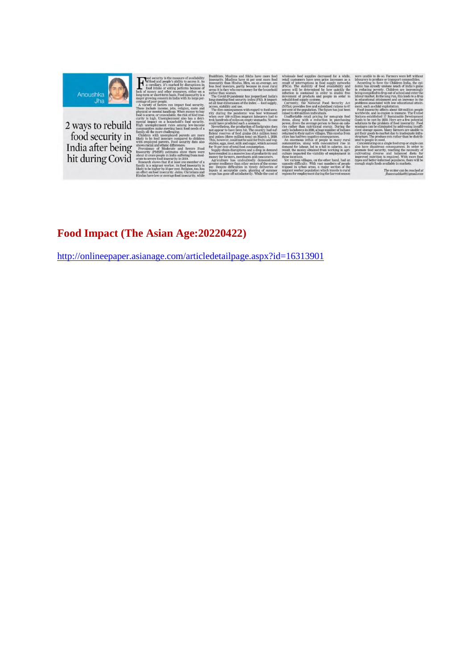

2 ways to rebuild<br>food security in<br>India after being<br>hit during Covid

 $\mathbf{H}^{\text{bad}}_{\text{act}}$ 

The writer can be re<br>Possmoushka@segn

### Food Impact (The Asian Age: 20220422)

http://onlineepaper.asianage.com/articledetailpage.aspx?id=16313901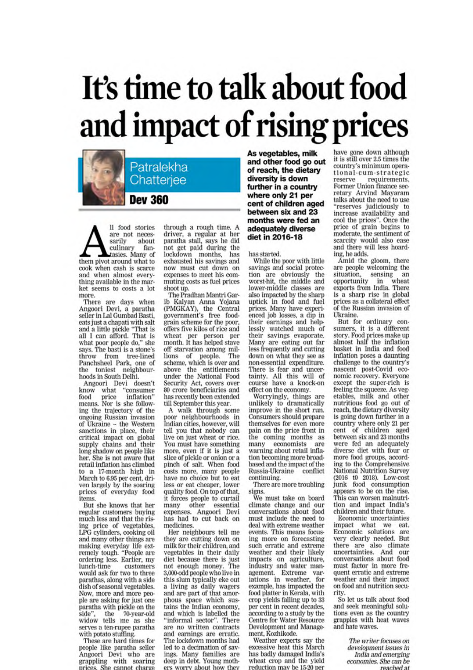# It's time to talk about food and impact of rising prices



ll food stories are not necessarily about culinary fantasies. Many of them pivot around what to cook when cash is scarce and when almost everything available in the market seems to costs a lot more.

There are days when Angoori Devi, a paratha<br>seller in Lal Gumbad Basti, eats just a chapati with salt<br>and a little pickle "That is<br>all I can afford. That is what poor people do," she says. The basti is a stone's throw from tree-lined<br>Panchsheel Park, one of the toniest neighbourhoods in South Delhi.

Angoori Devi doesn't know what "consumer food price inflation' means. Nor is she following the trajectory of the ongoing Russian invasion of Ukraine -- the Western sanctions in place, their critical impact on global supply chains and their long shadow on people like her. She is not aware that retail inflation has climbed to a 17-month high in March to 6.95 per cent, driven largely by the soaring prices of everyday food items.

But she knows that her regular customers buying much less and that the rising price of vegetables, LPG cylinders, cooking oil and many other things are making everyday life ext-<br>remely tough. "People are ordering less. Earlier, my lunch-time customers would ask for two to three parathas, along with a side dish of seasonal vegetables. Now, more and more people are asking for just one paratha with pickle on the side", the 70-year-old widow tells me as she serves a ten-rupee paratha with potato stuffing.

These are hard times for people like paratha seller Angoori Devi who are grappling with soaring prices. She cannot charge

through a rough time. A driver, a regular at her<br>paratha stall, says he did<br>not get paid during the<br>lockdown months, has<br>exhausted his savings and now must cut down on expenses to meet his commuting costs as fuel prices shoot up.

The Pradhan Mantri Garib Kalyan Anna Yojana (PMGKAY), the Central<br>government's free foodgrain scheme for the poor. offers five kilos of rice and wheat per person per<br>month. It has helped stave off starvation among mil-<br>lions of people. The bions of people. The<br>scheme, which is over and<br>above the entitlements<br>under the National Food Security Act, covers over 80 crore beneficiaries and has recently been extended till September this year.

A walk through some poor neighbourhoods in Indian cities, however, will tell you that nobody can live on just wheat or rice. You must have something more, even if it is just a slice of pickle or onion or a pinch of salt. When food costs more, many people have no choice but to eat less or eat cheaper, lower quality food. On top of that, it forces people to curtail many other essential expenses. Angoori Devi<br>has had to cut back on medicines.

Her neighbours tell me they are cutting down on milk for their children, and vegetables in their daily diet because there is just<br>not enough money. The 3,000-odd people who live in this slum typically eke out a living as daily wagers and are part of that amorphous space which sustains the Indian economy, and which is labelled the "informal sector". There are no written contracts and earnings are erratic. The lockdown months had led to a decimation of savings. Many families are<br>deep in debt. Young mothers worry about how they

As vegetables, milk and other food go out of reach, the dietary diversity is down further in a country where only 21 per cent of children aged between six and 23 months were fed an adequately diverse diet in 2016-18

has started.

While the poor with little savings and social protection are obviously the worst-hit, the middle and lower-middle classes are also impacted by the sharp uptick in food and fuel prices. Many have experienced job losses, a dip in their earnings and help-<br>lessly watched much of their savings evaporate.<br>Many are eating out far less frequently and cutting down on what they see as nown on what they see as<br>non-essential expenditure.<br>There is fear and uncertainty. All this will of<br>course have a knock-on effect on the economy.

Worryingly, things are<br>unlikely to dramatically<br>improve in the short run. Consumers should prepare themselves for even more pain on the price front in the coming months as many economists are warning about retail inflation becoming more broadbased and the impact of the Russia-Ukraine conflict continuing.

There are more troubling signs.

We must take on board climate change and our conversations about food must include the need to deal with extreme weather events. This means focusing more on forecasting such erratic and extreme weather and their likely impacts on agriculture,<br>industry and water management. Extreme variations in weather, for<br>example, has impacted the food platter in Kerala, with crop yields falling up to 33 per cent in recent decades. according to a study by the Centre for Water Resource Development and Management, Kozhikode.

Weather experts say the excessive heat this March has badly damaged India's wheat crop and the yield reduction may be 15-20 per

have gone down although it is still over 2.5 times the country's minimum operational-cum-strategic reserve requirements. Former Union finance secretary Arvind Mayaram<br>talks about the need to use "reserves judiciously to increase availability and cool the prices". Once the<br>price of grain begins to moderate, the sentiment of scarcity would also ease and there will less hoarding, he adds.

Amid the gloom, there are people welcoming the situation, sensing an<br>opportunity in wheat<br>exports from India. There is a sharp rise in global prices as a collateral effect of the Russian invasion of Ukraine.

But for ordinary consumers, it is a different story. Food prices make up almost half the inflation basket in India and food inflation poses a daunting challenge to the country's<br>nascent post-Covid economic recovery. Everyone except the super-rich is except the super-time<br>feeling the squeeze. As veg-<br>etables, milk and other<br>nutritious food go out of<br>reach, the dietary diversity is going down further in a country where only 21 per cent of children aged<br>between six and 23 months were fed an adequately diverse diet with four or more food groups, according to the Comprehensive National Nutrition Survey (2016 t0 2018). Low-cost junk food consumption appears to be on the rise. This can worsen malnutrition and impact India's children and their future.

Economic uncertainties impact what we eat. Economic solutions are<br>
very clearly needed. But<br>
there are also climate<br>
uncertainties. And our<br>
conversations about food must factor in more frequent erratic and extreme weather and their impact on food and nutrition security

So let us talk about food and seek meaningful solutions even as the country<br>grapples with heat waves and hate waves.

> The writer focuses on development issues in India and emerging economies. She can be reached at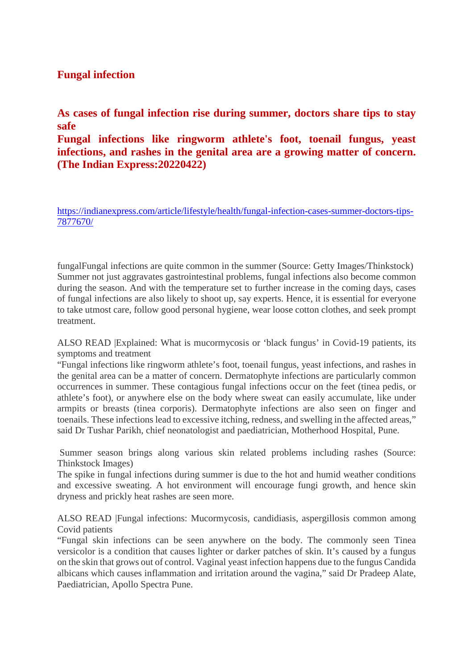#### **Fungal infection**

**As cases of fungal infection rise during summer, doctors share tips to stay safe**

**Fungal infections like ringworm athlete's foot, toenail fungus, yeast infections, and rashes in the genital area are a growing matter of concern. (The Indian Express:20220422)**

https://indianexpress.com/article/lifestyle/health/fungal-infection-cases-summer-doctors-tips-7877670/

fungalFungal infections are quite common in the summer (Source: Getty Images/Thinkstock) Summer not just aggravates gastrointestinal problems, fungal infections also become common during the season. And with the temperature set to further increase in the coming days, cases of fungal infections are also likely to shoot up, say experts. Hence, it is essential for everyone to take utmost care, follow good personal hygiene, wear loose cotton clothes, and seek prompt treatment.

ALSO READ |Explained: What is mucormycosis or 'black fungus' in Covid-19 patients, its symptoms and treatment

"Fungal infections like ringworm athlete's foot, toenail fungus, yeast infections, and rashes in the genital area can be a matter of concern. Dermatophyte infections are particularly common occurrences in summer. These contagious fungal infections occur on the feet (tinea pedis, or athlete's foot), or anywhere else on the body where sweat can easily accumulate, like under armpits or breasts (tinea corporis). Dermatophyte infections are also seen on finger and toenails. These infections lead to excessive itching, redness, and swelling in the affected areas," said Dr Tushar Parikh, chief neonatologist and paediatrician, Motherhood Hospital, Pune.

Summer season brings along various skin related problems including rashes (Source: Thinkstock Images)

The spike in fungal infections during summer is due to the hot and humid weather conditions and excessive sweating. A hot environment will encourage fungi growth, and hence skin dryness and prickly heat rashes are seen more.

ALSO READ |Fungal infections: Mucormycosis, candidiasis, aspergillosis common among Covid patients

"Fungal skin infections can be seen anywhere on the body. The commonly seen Tinea versicolor is a condition that causes lighter or darker patches of skin. It's caused by a fungus on the skin that grows out of control. Vaginal yeast infection happens due to the fungus Candida albicans which causes inflammation and irritation around the vagina," said Dr Pradeep Alate, Paediatrician, Apollo Spectra Pune.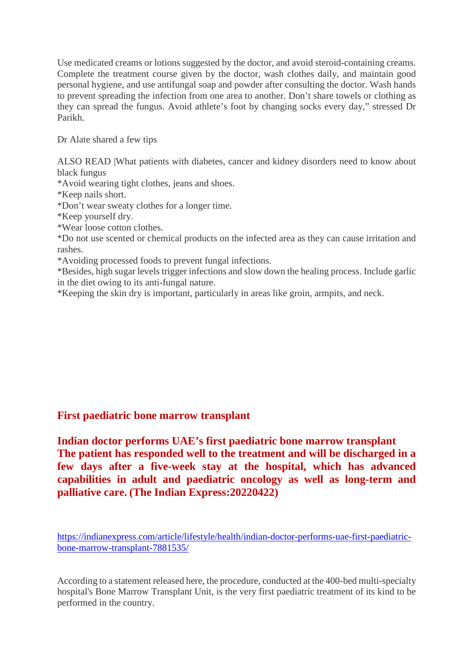Use medicated creams or lotions suggested by the doctor, and avoid steroid-containing creams. Complete the treatment course given by the doctor, wash clothes daily, and maintain good personal hygiene, and use antifungal soap and powder after consulting the doctor. Wash hands to prevent spreading the infection from one area to another. Don't share towels or clothing as they can spread the fungus. Avoid athlete's foot by changing socks every day," stressed Dr Parikh.

Dr Alate shared a few tips

ALSO READ |What patients with diabetes, cancer and kidney disorders need to know about black fungus

\*Avoid wearing tight clothes, jeans and shoes.

\*Keep nails short.

\*Don't wear sweaty clothes for a longer time.

\*Keep yourself dry.

\*Wear loose cotton clothes.

\*Do not use scented or chemical products on the infected area as they can cause irritation and rashes.

\*Avoiding processed foods to prevent fungal infections.

\*Besides, high sugar levels trigger infections and slow down the healing process. Include garlic in the diet owing to its anti-fungal nature.

\*Keeping the skin dry is important, particularly in areas like groin, armpits, and neck.

#### **First paediatric bone marrow transplant**

**Indian doctor performs UAE's first paediatric bone marrow transplant The patient has responded well to the treatment and will be discharged in a few days after a five-week stay at the hospital, which has advanced capabilities in adult and paediatric oncology as well as long-term and palliative care. (The Indian Express:20220422)**

https://indianexpress.com/article/lifestyle/health/indian-doctor-performs-uae-first-paediatricbone-marrow-transplant-7881535/

According to a statement released here, the procedure, conducted at the 400-bed multi-specialty hospital's Bone Marrow Transplant Unit, is the very first paediatric treatment of its kind to be performed in the country.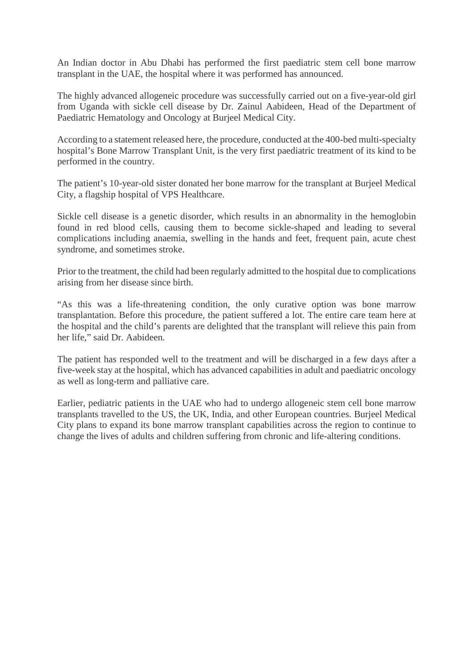An Indian doctor in Abu Dhabi has performed the first paediatric stem cell bone marrow transplant in the UAE, the hospital where it was performed has announced.

The highly advanced allogeneic procedure was successfully carried out on a five-year-old girl from Uganda with sickle cell disease by Dr. Zainul Aabideen, Head of the Department of Paediatric Hematology and Oncology at Burjeel Medical City.

According to a statement released here, the procedure, conducted at the 400-bed multi-specialty hospital's Bone Marrow Transplant Unit, is the very first paediatric treatment of its kind to be performed in the country.

The patient's 10-year-old sister donated her bone marrow for the transplant at Burjeel Medical City, a flagship hospital of VPS Healthcare.

Sickle cell disease is a genetic disorder, which results in an abnormality in the hemoglobin found in red blood cells, causing them to become sickle-shaped and leading to several complications including anaemia, swelling in the hands and feet, frequent pain, acute chest syndrome, and sometimes stroke.

Prior to the treatment, the child had been regularly admitted to the hospital due to complications arising from her disease since birth.

"As this was a life-threatening condition, the only curative option was bone marrow transplantation. Before this procedure, the patient suffered a lot. The entire care team here at the hospital and the child's parents are delighted that the transplant will relieve this pain from her life," said Dr. Aabideen.

The patient has responded well to the treatment and will be discharged in a few days after a five-week stay at the hospital, which has advanced capabilities in adult and paediatric oncology as well as long-term and palliative care.

Earlier, pediatric patients in the UAE who had to undergo allogeneic stem cell bone marrow transplants travelled to the US, the UK, India, and other European countries. Burjeel Medical City plans to expand its bone marrow transplant capabilities across the region to continue to change the lives of adults and children suffering from chronic and life-altering conditions.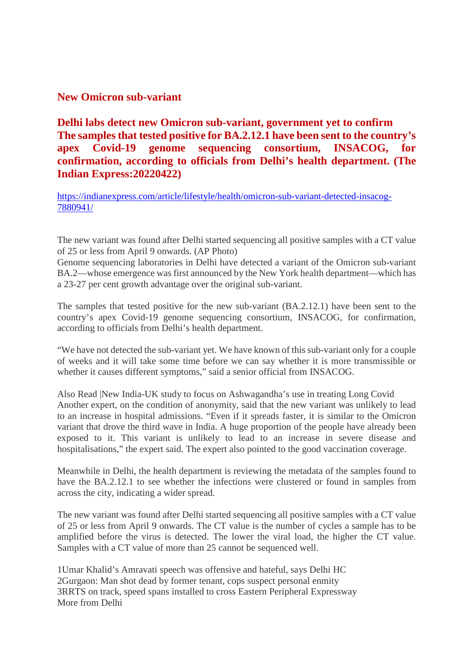#### **New Omicron sub-variant**

**Delhi labs detect new Omicron sub-variant, government yet to confirm The samples that tested positive for BA.2.12.1 have been sent to the country's apex Covid-19 genome sequencing consortium, INSACOG, for confirmation, according to officials from Delhi's health department. (The Indian Express:20220422)**

https://indianexpress.com/article/lifestyle/health/omicron-sub-variant-detected-insacog-7880941/

The new variant was found after Delhi started sequencing all positive samples with a CT value of 25 or less from April 9 onwards. (AP Photo)

Genome sequencing laboratories in Delhi have detected a variant of the Omicron sub-variant BA.2—whose emergence was first announced by the New York health department—which has a 23-27 per cent growth advantage over the original sub-variant.

The samples that tested positive for the new sub-variant (BA.2.12.1) have been sent to the country's apex Covid-19 genome sequencing consortium, INSACOG, for confirmation, according to officials from Delhi's health department.

"We have not detected the sub-variant yet. We have known of this sub-variant only for a couple of weeks and it will take some time before we can say whether it is more transmissible or whether it causes different symptoms," said a senior official from INSACOG.

Also Read |New India-UK study to focus on Ashwagandha's use in treating Long Covid Another expert, on the condition of anonymity, said that the new variant was unlikely to lead to an increase in hospital admissions. "Even if it spreads faster, it is similar to the Omicron variant that drove the third wave in India. A huge proportion of the people have already been exposed to it. This variant is unlikely to lead to an increase in severe disease and hospitalisations," the expert said. The expert also pointed to the good vaccination coverage.

Meanwhile in Delhi, the health department is reviewing the metadata of the samples found to have the BA.2.12.1 to see whether the infections were clustered or found in samples from across the city, indicating a wider spread.

The new variant was found after Delhi started sequencing all positive samples with a CT value of 25 or less from April 9 onwards. The CT value is the number of cycles a sample has to be amplified before the virus is detected. The lower the viral load, the higher the CT value. Samples with a CT value of more than 25 cannot be sequenced well.

1Umar Khalid's Amravati speech was offensive and hateful, says Delhi HC 2Gurgaon: Man shot dead by former tenant, cops suspect personal enmity 3RRTS on track, speed spans installed to cross Eastern Peripheral Expressway More from Delhi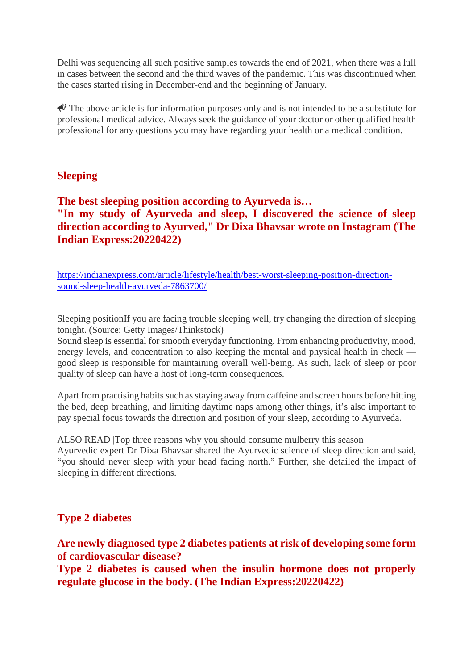Delhi was sequencing all such positive samples towards the end of 2021, when there was a lull in cases between the second and the third waves of the pandemic. This was discontinued when the cases started rising in December-end and the beginning of January.

 $\triangle$  The above article is for information purposes only and is not intended to be a substitute for professional medical advice. Always seek the guidance of your doctor or other qualified health professional for any questions you may have regarding your health or a medical condition.

#### **Sleeping**

#### **The best sleeping position according to Ayurveda is… "In my study of Ayurveda and sleep, I discovered the science of sleep direction according to Ayurved," Dr Dixa Bhavsar wrote on Instagram (The Indian Express:20220422)**

https://indianexpress.com/article/lifestyle/health/best-worst-sleeping-position-directionsound-sleep-health-ayurveda-7863700/

Sleeping positionIf you are facing trouble sleeping well, try changing the direction of sleeping tonight. (Source: Getty Images/Thinkstock)

Sound sleep is essential for smooth everyday functioning. From enhancing productivity, mood, energy levels, and concentration to also keeping the mental and physical health in check good sleep is responsible for maintaining overall well-being. As such, lack of sleep or poor quality of sleep can have a host of long-term consequences.

Apart from practising habits such as staying away from caffeine and screen hours before hitting the bed, deep breathing, and limiting daytime naps among other things, it's also important to pay special focus towards the direction and position of your sleep, according to Ayurveda.

ALSO READ |Top three reasons why you should consume mulberry this season Ayurvedic expert Dr Dixa Bhavsar shared the Ayurvedic science of sleep direction and said, "you should never sleep with your head facing north." Further, she detailed the impact of sleeping in different directions.

#### **Type 2 diabetes**

**Are newly diagnosed type 2 diabetes patients at risk of developing some form of cardiovascular disease?**

**Type 2 diabetes is caused when the insulin hormone does not properly regulate glucose in the body. (The Indian Express:20220422)**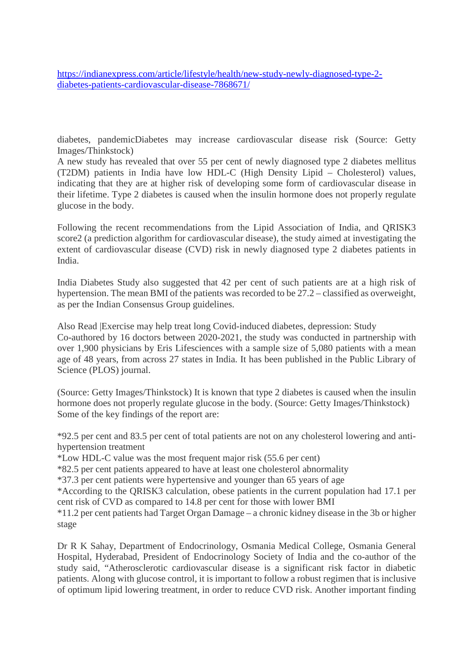https://indianexpress.com/article/lifestyle/health/new-study-newly-diagnosed-type-2 diabetes-patients-cardiovascular-disease-7868671/

diabetes, pandemicDiabetes may increase cardiovascular disease risk (Source: Getty Images/Thinkstock)

A new study has revealed that over 55 per cent of newly diagnosed type 2 diabetes mellitus (T2DM) patients in India have low HDL-C (High Density Lipid – Cholesterol) values, indicating that they are at higher risk of developing some form of cardiovascular disease in their lifetime. Type 2 diabetes is caused when the insulin hormone does not properly regulate glucose in the body.

Following the recent recommendations from the Lipid Association of India, and QRISK3 score2 (a prediction algorithm for cardiovascular disease), the study aimed at investigating the extent of cardiovascular disease (CVD) risk in newly diagnosed type 2 diabetes patients in India.

India Diabetes Study also suggested that 42 per cent of such patients are at a high risk of hypertension. The mean BMI of the patients was recorded to be 27.2 – classified as overweight, as per the Indian Consensus Group guidelines.

Also Read |Exercise may help treat long Covid-induced diabetes, depression: Study Co-authored by 16 doctors between 2020-2021, the study was conducted in partnership with over 1,900 physicians by Eris Lifesciences with a sample size of 5,080 patients with a mean age of 48 years, from across 27 states in India. It has been published in the Public Library of Science (PLOS) journal.

(Source: Getty Images/Thinkstock) It is known that type 2 diabetes is caused when the insulin hormone does not properly regulate glucose in the body. (Source: Getty Images/Thinkstock) Some of the key findings of the report are:

\*92.5 per cent and 83.5 per cent of total patients are not on any cholesterol lowering and antihypertension treatment

\*Low HDL-C value was the most frequent major risk (55.6 per cent)

\*82.5 per cent patients appeared to have at least one cholesterol abnormality

\*37.3 per cent patients were hypertensive and younger than 65 years of age

\*According to the QRISK3 calculation, obese patients in the current population had 17.1 per cent risk of CVD as compared to 14.8 per cent for those with lower BMI

\*11.2 per cent patients had Target Organ Damage – a chronic kidney disease in the 3b or higher stage

Dr R K Sahay, Department of Endocrinology, Osmania Medical College, Osmania General Hospital, Hyderabad, President of Endocrinology Society of India and the co-author of the study said, "Atherosclerotic cardiovascular disease is a significant risk factor in diabetic patients. Along with glucose control, it is important to follow a robust regimen that is inclusive of optimum lipid lowering treatment, in order to reduce CVD risk. Another important finding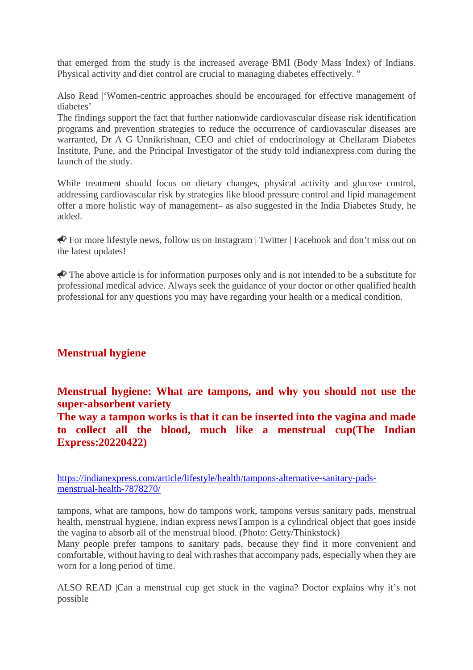that emerged from the study is the increased average BMI (Body Mass Index) of Indians. Physical activity and diet control are crucial to managing diabetes effectively. "

Also Read |'Women-centric approaches should be encouraged for effective management of diabetes'

The findings support the fact that further nationwide cardiovascular disease risk identification programs and prevention strategies to reduce the occurrence of cardiovascular diseases are warranted, Dr A G Unnikrishnan, CEO and chief of endocrinology at Chellaram Diabetes Institute, Pune, and the Principal Investigator of the study told indianexpress.com during the launch of the study.

While treatment should focus on dietary changes, physical activity and glucose control, addressing cardiovascular risk by strategies like blood pressure control and lipid management offer a more holistic way of management– as also suggested in the India Diabetes Study, he added.

For more lifestyle news, follow us on Instagram | Twitter | Facebook and don't miss out on the latest updates!

 $\bigotimes$  The above article is for information purposes only and is not intended to be a substitute for professional medical advice. Always seek the guidance of your doctor or other qualified health professional for any questions you may have regarding your health or a medical condition.

#### **Menstrual hygiene**

**Menstrual hygiene: What are tampons, and why you should not use the super-absorbent variety**

**The way a tampon works is that it can be inserted into the vagina and made to collect all the blood, much like a menstrual cup(The Indian Express:20220422)**

https://indianexpress.com/article/lifestyle/health/tampons-alternative-sanitary-padsmenstrual-health-7878270/

tampons, what are tampons, how do tampons work, tampons versus sanitary pads, menstrual health, menstrual hygiene, indian express newsTampon is a cylindrical object that goes inside the vagina to absorb all of the menstrual blood. (Photo: Getty/Thinkstock)

Many people prefer tampons to sanitary pads, because they find it more convenient and comfortable, without having to deal with rashes that accompany pads, especially when they are worn for a long period of time.

ALSO READ |Can a menstrual cup get stuck in the vagina? Doctor explains why it's not possible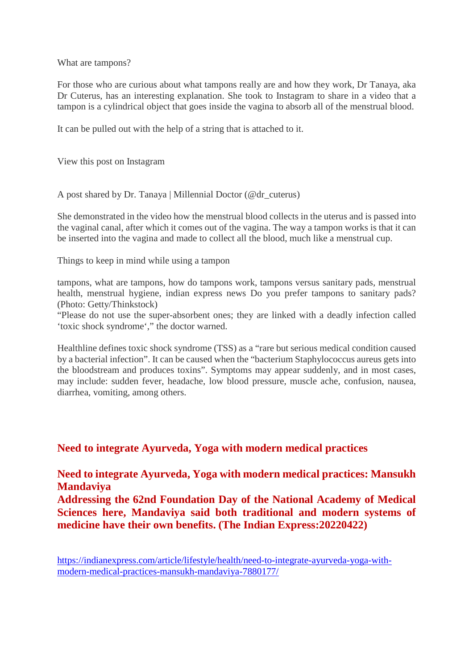What are tampons?

For those who are curious about what tampons really are and how they work, Dr Tanaya, aka Dr Cuterus, has an interesting explanation. She took to Instagram to share in a video that a tampon is a cylindrical object that goes inside the vagina to absorb all of the menstrual blood.

It can be pulled out with the help of a string that is attached to it.

View this post on Instagram

A post shared by Dr. Tanaya | Millennial Doctor (@dr\_cuterus)

She demonstrated in the video how the menstrual blood collects in the uterus and is passed into the vaginal canal, after which it comes out of the vagina. The way a tampon works is that it can be inserted into the vagina and made to collect all the blood, much like a menstrual cup.

Things to keep in mind while using a tampon

tampons, what are tampons, how do tampons work, tampons versus sanitary pads, menstrual health, menstrual hygiene, indian express news Do you prefer tampons to sanitary pads? (Photo: Getty/Thinkstock)

"Please do not use the super-absorbent ones; they are linked with a deadly infection called 'toxic shock syndrome'," the doctor warned.

Healthline defines toxic shock syndrome (TSS) as a "rare but serious medical condition caused by a bacterial infection". It can be caused when the "bacterium Staphylococcus aureus gets into the bloodstream and produces toxins". Symptoms may appear suddenly, and in most cases, may include: sudden fever, headache, low blood pressure, muscle ache, confusion, nausea, diarrhea, vomiting, among others.

#### **Need to integrate Ayurveda, Yoga with modern medical practices**

**Need to integrate Ayurveda, Yoga with modern medical practices: Mansukh Mandaviya Addressing the 62nd Foundation Day of the National Academy of Medical Sciences here, Mandaviya said both traditional and modern systems of**

**medicine have their own benefits. (The Indian Express:20220422)**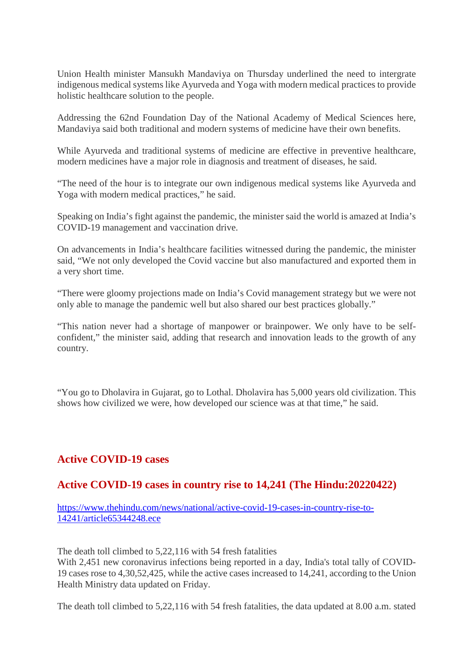Union Health minister Mansukh Mandaviya on Thursday underlined the need to intergrate indigenous medical systems like Ayurveda and Yoga with modern medical practices to provide holistic healthcare solution to the people.

Addressing the 62nd Foundation Day of the National Academy of Medical Sciences here, Mandaviya said both traditional and modern systems of medicine have their own benefits.

While Ayurveda and traditional systems of medicine are effective in preventive healthcare, modern medicines have a major role in diagnosis and treatment of diseases, he said.

"The need of the hour is to integrate our own indigenous medical systems like Ayurveda and Yoga with modern medical practices," he said.

Speaking on India's fight against the pandemic, the minister said the world is amazed at India's COVID-19 management and vaccination drive.

On advancements in India's healthcare facilities witnessed during the pandemic, the minister said, "We not only developed the Covid vaccine but also manufactured and exported them in a very short time.

"There were gloomy projections made on India's Covid management strategy but we were not only able to manage the pandemic well but also shared our best practices globally."

"This nation never had a shortage of manpower or brainpower. We only have to be selfconfident," the minister said, adding that research and innovation leads to the growth of any country.

"You go to Dholavira in Gujarat, go to Lothal. Dholavira has 5,000 years old civilization. This shows how civilized we were, how developed our science was at that time," he said.

#### **Active COVID-19 cases**

#### **Active COVID-19 cases in country rise to 14,241 (The Hindu:20220422)**

https://www.thehindu.com/news/national/active-covid-19-cases-in-country-rise-to-14241/article65344248.ece

The death toll climbed to 5,22,116 with 54 fresh fatalities

With 2,451 new coronavirus infections being reported in a day, India's total tally of COVID-19 cases rose to 4,30,52,425, while the active cases increased to 14,241, according to the Union Health Ministry data updated on Friday.

The death toll climbed to 5,22,116 with 54 fresh fatalities, the data updated at 8.00 a.m. stated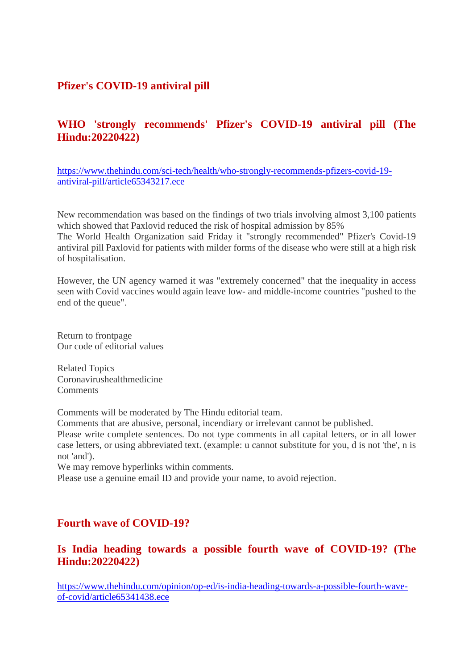#### **Pfizer's COVID-19 antiviral pill**

#### **WHO 'strongly recommends' Pfizer's COVID-19 antiviral pill (The Hindu:20220422)**

https://www.thehindu.com/sci-tech/health/who-strongly-recommends-pfizers-covid-19 antiviral-pill/article65343217.ece

New recommendation was based on the findings of two trials involving almost 3,100 patients which showed that Paxlovid reduced the risk of hospital admission by 85%

The World Health Organization said Friday it "strongly recommended" Pfizer's Covid-19 antiviral pill Paxlovid for patients with milder forms of the disease who were still at a high risk of hospitalisation.

However, the UN agency warned it was "extremely concerned" that the inequality in access seen with Covid vaccines would again leave low- and middle-income countries "pushed to the end of the queue".

Return to frontpage Our code of editorial values

Related Topics Coronavirushealthmedicine **Comments** 

Comments will be moderated by The Hindu editorial team.

Comments that are abusive, personal, incendiary or irrelevant cannot be published.

Please write complete sentences. Do not type comments in all capital letters, or in all lower case letters, or using abbreviated text. (example: u cannot substitute for you, d is not 'the', n is not 'and').

We may remove hyperlinks within comments.

Please use a genuine email ID and provide your name, to avoid rejection.

#### **Fourth wave of COVID-19?**

#### **Is India heading towards a possible fourth wave of COVID-19? (The Hindu:20220422)**

https://www.thehindu.com/opinion/op-ed/is-india-heading-towards-a-possible-fourth-waveof-covid/article65341438.ece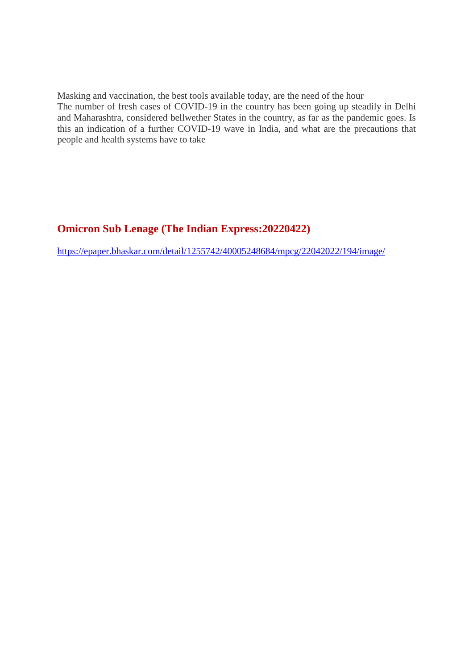Masking and vaccination, the best tools available today, are the need of the hour The number of fresh cases of COVID-19 in the country has been going up steadily in Delhi and Maharashtra, considered bellwether States in the country, as far as the pandemic goes. Is this an indication of a further COVID-19 wave in India, and what are the precautions that people and health systems have to take

#### **Omicron Sub Lenage (The Indian Express:20220422)**

https://epaper.bhaskar.com/detail/1255742/40005248684/mpcg/22042022/194/image/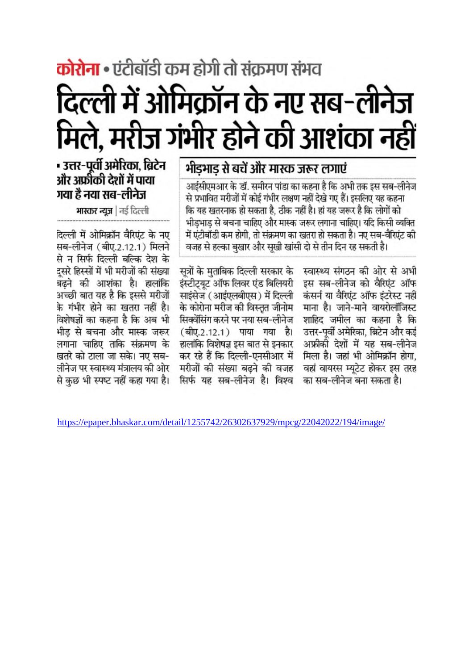# **कोरोना •** एंटीबॉडी कम होगी तो संक्रमण संभव दिल्ली में ओमिक्रॉन के नए सब-लीनेज मिले, मरीज गंभीर होने की आशंका नहीं

## भीडभाड से बचें और मास्क जरूर लगाएं

आईसीएमआर के डॉ. समीरन पांडा का कहना है कि अभी तक इस सब-लीनेज से प्रभावित मरीजों में कोई गंभीर लक्षण नहीं देखे गए हैं। इसलिए यह कहना कि यह खतरनाक हो सकता है. ठीक नहीं है। हां यह जरूर है कि लोगों को भीडभाड से बचना चाहिए और मास्क जरूर लगाना चाहिए। यदि किसी व्यक्ति में एंटीबॉडी कम होगी. तो संक्रमण का खतरा हो सकता है। नए सब-वैरिएंट की वजह से हल्का बखार और सुखी खांसी दो से तीन दिन रह सकती है।

> स्वास्थ्य संगठन की ओर से अभी इस सब-लीनेज को वैरिएंट ऑफ कंसर्न या वैरिएंट ऑफ इंटरेस्ट नहीं माना है। जाने-माने वायरोलॉजिस्ट शाहिद जमील का कहना है कि उत्तर-पर्वी अमेरिका. ब्रिटेन और कई अफ्रीकी देशों में यह सब-लीनेज मिला है। जहां भी ओमिक्रॉन होगा. वहां वायरस म्युटेट होकर इस तरह का सब-लीनेज बना सकता है।

सत्रों के मताबिक दिल्ली सरकार के इंस्टीटयट ऑफ लिवर एंड बिलियरी साइंसेज (आईएलबीएस) में दिल्ली के कोरोना मरीज की विस्तृत जीनोम सिक्वेंसिंग करने पर नया सब-लीनेज (बीए.2.12.1) पाया गया है। हालांकि विशेषज्ञ इस बात से इनकार कर रहे हैं कि दिल्ली-एनसीआर में मरीजों की संख्या बढने की वजह सिर्फ यह सब-लीनेज है। विश्व

### - उत्तर-पूर्वी अमेरिका, ब्रिटेन और अफीकी देशों में पाया गया है नया सब-लीनेज

भास्कर न्यूज | नई दिल्ली

दिल्ली में ओमिक्रॉन वैरिएंट के नए सब-लीनेज (बीए.2.12.1) मिलने से न सिर्फ दिल्ली बल्कि देश के दसरे हिस्सों में भी मरीजों की संख्या बढने की आशंका है। हालांकि अच्छी बात यह है कि इससे मरीजों के गंभीर होने का खतरा नहीं है। विशेषज्ञों का कहना है कि अब भी भीड से बचना और मास्क जरूर लगाना चाहिए ताकि संक्रमण के खतरे को टाला जा सके। नए सब-लीनेज पर स्वास्थ्य मंत्रालय की ओर से कछ भी स्पष्ट नहीं कहा गया है।

https://epaper.bhaskar.com/detail/1255742/26302637929/mpcg/22042022/194/image/